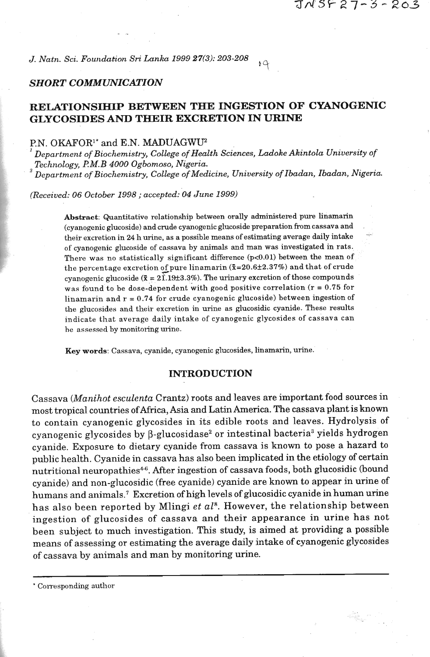*J. Natn. Sci. Foundation Sri Lanka* **1999 27(3): 203-208** 

## *SHORT COMMUNICATION*

# **RELATIONSIHIP BETWEEN THE INGESTION OF CYANOGENIC GLYCOSIDES AND THEIR EXCRETION IN URINE**

**<sup>5</sup>**4

## P.N. OKAFOR<sup>1\*</sup> and E.N. MADUAGWU<sup>2</sup>

*<sup>I</sup>Department of Biochemistry, College of Health Sciences, Ladoke Akintola University of Technology,* **F!** *M. B* **4000** *Ogbomoso, Nigeria.* ' *Department of Biochemistry, College of Medicine, University of Ibadan, Ibadan, Nigeria.* 

*(Received:* **06** *October* **1998** ; *accepted:* **04** *June* **1999)** 

**Abstract:** Quantitative relationship between orally administered pure linamarin Abstract: Quantitative relationship between orally administered pure linamarin<br>cyanogenic glucoside) and crude cyanogenic glucoside preparation from cassava and<br>cheir excretion in 24 h urine, as a possible means of estimat of cyanogenic glucoside of cassava by animals and man was investigated in rats. There was no statistically significant difference (p<0.01) between the mean of the percentage excretion of pure linamarin ( $\bar{x}$ =20.6±2.37%) and that of crude cyanogenic glucoside  $(\bar{x} = 2\hat{1})$ .19 $\pm 3.3\%$ ). The urinary excretion of those compounds was found to be dose-dependent with good positive correlation ( $r = 0.75$  for linamarin and  $r = 0.74$  for crude cyanogenic glucoside) between ingestion of the glucosides and their excretion in urine as glucosidic cyanide. These results indicate that average daily intake of cyanogenic glycosides of cassava can he assessed by monitoring urine.

**Key words:** Cassava, cyanide, cyanogenic glucosides, linamarin, urine.

## **INTRODUCTION**

Cassava (Manihot esculenta Crantz) roots and leaves are important food sources in most tropical countries ofAfrica, Asia and Latin America. The cassava plant is known to contain cyanogenic glycosides in its edible roots and leaves. Hydrolysis of ' cyanogenic glycosides by  $\beta$ -glucosidase<sup>2</sup> or intestinal bacteria<sup>3</sup> yields hydrogen cyanide. Exposure to dietary cyanide from cassava is known to pose a hazard to public health. Cyanide in cassava has also been implicated in the etiology of certain nutritional neuropathies<sup>4-6</sup>. After ingestion of cassava foods, both glucosidic (bound cyanide) and non-glucosidic (free cyanide) cyanide are known to appear in urine of humans and animals.' Excretion of high levels of glucosidic cyanide in human urine has also been reported by Mlingi et  $al^s$ . However, the relationship between ingestion of glucosides of cassava and their appearance in urine has not been subject to much investigation. This study, is aimed at providing a possible means of assessing or estimating the average daily intake of cyanogenic glycosides of cassava by animals and man by monitoring urine.

<sup>\*</sup> Corresponding author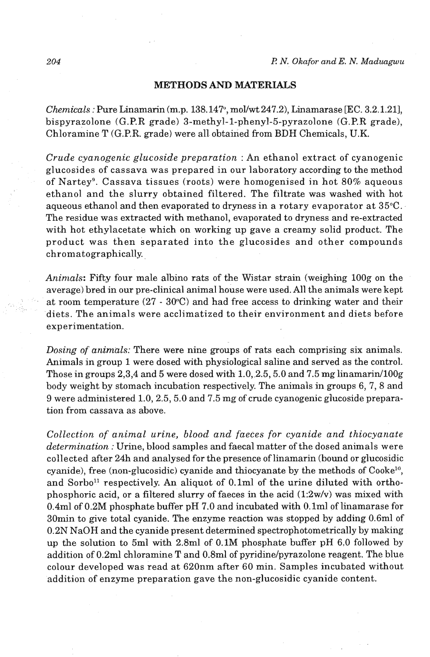#### **METHODS AND MATERIALS**

*Chemicals* : Pure Linamarin (m.p. 138.147, mollwt 247.2), Linamarase [EC. 3.2.1.211, bispyrazolone (G.P.R grade) 3-methyl-1-phenyl-5-pyrazolone (G.P.R grade), Chloramine T (G.P.R. grade) were all obtained from BDH Chemicals, U.K.

*Crude cyanogenic glucoside preparation* : An ethanol extract of cyanogenic glucosides of cassava was prepared in our laboratory according to the method of Nartey9. Cassava tissues (roots) were homogenised in hot 80% aqueous ethanol and the slurry obtained filtered. The filtrate was washed with hot aqueous ethanol and then evaporated to dryness in a rotary evaporator at 35°C. The residue was extracted with methanol, evaporated to dryness and re-extracted with hot ethylacetate which on working up gave a creamy solid product. The product was then separated into the glucosides and other compounds chromatographically.

Animals: Fifty four male albino rats of the Wistar strain (weighing 100g on the average) bred in our pre-clinical animal house were used. All the animals were kept at room temperature  $(27 \cdot 30^{\circ}C)$  and had free access to drinking water and their diets. The animals were acclimatized to their environment and diets before experimentation.

*Dosing of animals:* There were nine groups of rats each comprising six animals. Animals in group 1 were dosed with physiological saline and served as the control. Those in groups 2,3,4 and 5 were dosed with 1.0, 2.5, 5.0 and 7.5 mg linamarin/100g body weight by stomach incubation respectively. The animals in groups 6, 7, 8 and 9 were administered 1.0,2.5,5.0 and 7.5 mg of crude cyanogenic glucoside preparation from cassava as above.

*Collection of animal urine, blood and faeces for cyanide and thiocyanate determination* : Urine, blood samples and faecal matter of the dosed animals were collected after 24h and analysed for the presence of linamarin (bound or glucosidic cyanide), free (non-glucosidic) cyanide and thiocyanate by the methods of Cookel'', and Sorbo<sup>11</sup> respectively. An aliquot of  $0.1<sup>th</sup>$  of the urine diluted with orthophosphoric acid, or a filtered slurry of faeces in the acid  $(1:2w/v)$  was mixed with 0.4ml of 0.2M phosphate buffer pH 7.0 and incubated with O.lml of linamarase for 30min to give total cyanide. The enzyme reaction was stopped by adding 0.6ml of 0.2N NaOH and the cyanide present determined spectrophotometrically by making up the solution to 5ml with 2.8ml of 0.1M phosphate buffer pH 6.0 followed by addition of 0.2ml chloramine T and 0.8ml of pyridine/pyrazolone reagent. The blue colour developed was read at 620nm after 60 min. Samples incubated without addition of enzyme preparation gave the non-glucosidic cyanide content.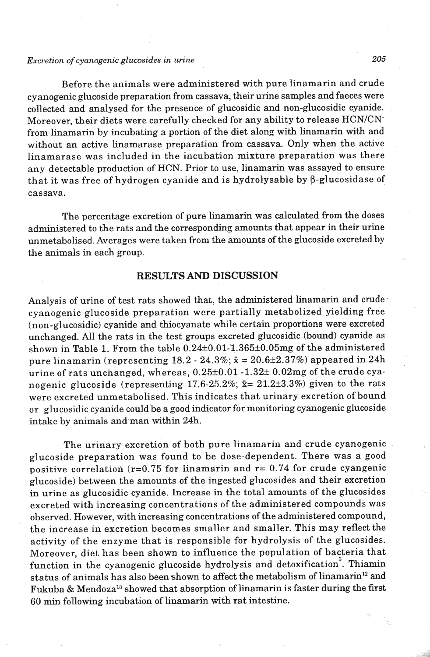### *Excretion of cyanogenic gluco.sides in urine* **205**

Before the animals were administered with pure linamarin and crude cy anogenic glucoside preparation from cassava, their urine samples and faeces were collected and analysed for the presence of glucosidic and non-glucosidic cyanide. Moreover, their diets were carefully checked for any ability to release HCN/CNfrom linamarin by incubating a portion of the diet along with linamarin **with** and without an active linamarase preparation from cassava. Only when the active linamarase was included in the incubation mixture preparation was there any detectable production of HCN. Prior to use, linamarin was assayed to ensure that it was free of hydrogen cyanide and is hydrolysable by  $\beta$ -glucosidase of cassava.

The percentage excretion of pure linamarin was calculated from the doses administered to the rats and the corresponding amounts that appear in their urine unmetabolised. Averages were taken from the amounts of the glucoside excreted by the animals in each group.

#### **RESULTS AND DISCUSSION**

Analysis of urine of test rats showed that, the administered linamarin and crude cyanogenic glucoside preparation were partially metabolized yielding free (non-glucosidic) cyanide and thiocyanate while certain proportions were excreted unchanged. All the rats in the test groups excreted glucosidic (bound) cyanide as shown in Table 1. From the table  $0.24 \pm 0.01$ -1.365 $\pm 0.05$ mg of the administered pure linamarin (representing  $18.2 - 24.3\%$ ;  $\bar{x} = 20.6 \pm 2.37\%$ ) appeared in 24h urine of rats unchanged, whereas,  $0.25\pm0.01$  -1.32 $\pm$  0.02mg of the crude cyanogenic glucoside (representing 17.6-25.2%; **S=** 21.2\*3.3%) given to the rats were excreted unmetabolised. This indicates that urinary excretion of bound or glucosidic cyanide could be a good indicator for monitoring cyanogenic glucoside intake by animals and man within 24h.

The urinary excretion of both pure linamarin and crude cyanogenic glucoside preparation was found to be dose-dependent. There was a good positive correlation  $(r=0.75$  for linamarin and  $r=0.74$  for crude cyangenic glucoside) between the amounts of the ingested glucosides and their excretion in urine as glucosidic cyanide. Increase in the total amounts of the glucosides excreted with increasing concentrations of the administered compounds was observed. However, with increasing concentrations of the administered compound, the increase in excretion becomes smaller and smaller. This may reflect the activity of the enzyme that is responsible for hydrolysis of the glucosides. Moreover, diet has been shown to influence the population of bacteria that function in the cyanogenic glucoside hydrolysis and detoxification<sup>3</sup>. Thiamin status of animals has also been shown to affect the metabolism of linamarin<sup>12</sup> and Fukuba & Mendoza13 showed that absorption of linamarin is faster during the first 60 min following incubation of linamarin with rat intestine.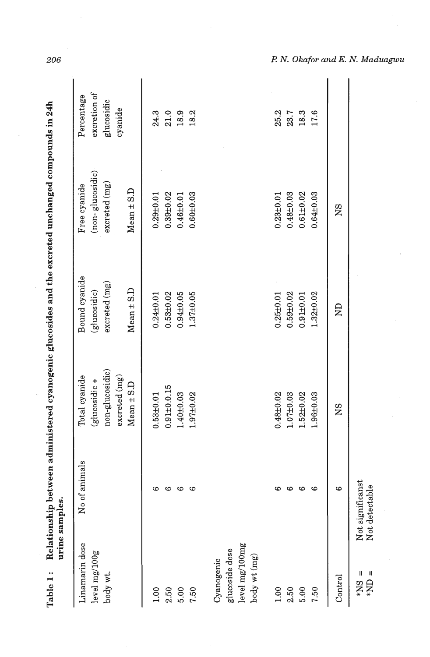| Table 1:                                                           | urine samples.                     |                                                                                     |                                                                 | Relationship between administered cyanogenic glucosides and the excreted unchanged compounds in 24h |                                                     |
|--------------------------------------------------------------------|------------------------------------|-------------------------------------------------------------------------------------|-----------------------------------------------------------------|-----------------------------------------------------------------------------------------------------|-----------------------------------------------------|
| Linamarin dose<br>level mg/100g<br>body wt.                        | animals<br>No of                   | non-glucosidic)<br>Total cyanide<br>excreted (mg)<br>(glucosidic+<br>$Mean \pm S.D$ | Bound cyanide<br>excreted(mg)<br>$Mean \pm S.D$<br>(glucosidic) | (non-glucosidic)<br>excried (mg)<br>Free cyanide<br>$Mean \pm S.D$                                  | excretion of<br>Percentage<br>glucosidic<br>cyanide |
| 1.00                                                               | 6                                  | $0.53 + 0.01$                                                                       | $0.24 \pm 0.01$                                                 | $0.29 + 0.01$                                                                                       | 24.3                                                |
| 2.50                                                               | $\bullet$                          | $0.91 \pm 0.0.15$                                                                   | $0.53 + 0.02$                                                   | $0.39 + 0.02$                                                                                       | 21.0                                                |
| 5.00                                                               | $\circ$                            | $1.40 \pm 0.03$                                                                     | $0.94 \pm 0.05$                                                 | $0.46 + 0.01$                                                                                       | 18.9                                                |
| 7.50                                                               | అ                                  | $1.97 + 0.02$                                                                       | $1.37 + 0.05$                                                   | $0.60 \pm 0.03$                                                                                     | 18.2                                                |
| level mg/100mg<br>glucoside dose<br>$body$ wt $(mg)$<br>Cyanogenic |                                    |                                                                                     |                                                                 |                                                                                                     |                                                     |
| 1.00                                                               | అ                                  | $0.48 + 0.02$                                                                       | $0.25 + 0.01$                                                   | $0.23 + 0.01$                                                                                       | 25.2                                                |
| 2.50                                                               | అ                                  | $1.07 + 0.03$                                                                       | $0.59 + 0.02$                                                   | $0.48 + 0.03$                                                                                       | 23.7                                                |
| 5.00                                                               | అ                                  | $1.52 \pm 0.02$                                                                     | $0.91 \pm 0.01$                                                 | $0.61 \pm 0.02$                                                                                     | 18.3                                                |
| 7.50                                                               | 6                                  | 1.96±0.03                                                                           | $1.32 + 0.02$                                                   | $0.64 \pm 0.03$                                                                                     | 17.6                                                |
| Control                                                            | 6                                  | <b>NS</b>                                                                           | $\mathbf{E}$                                                    | SN                                                                                                  |                                                     |
| $=$ CN*<br>Ш<br>$\mathbf{SN}^*$                                    | Not significanst<br>Not detectable |                                                                                     |                                                                 |                                                                                                     |                                                     |

206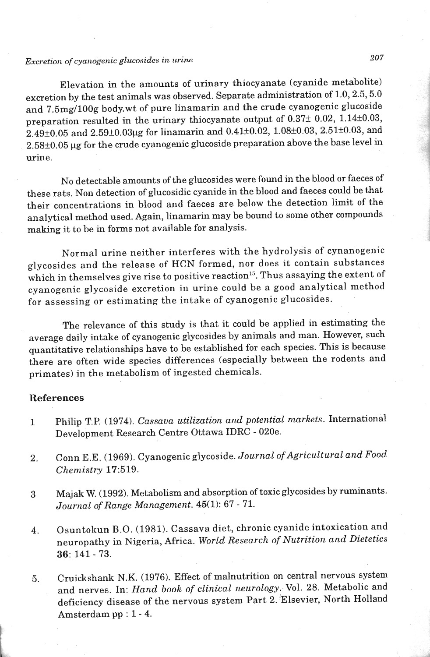# *Excretion of cyanogenic glucosides in urine* $207$

Elevation in the amounts of urinary thiocyanate (cyanide metabolite) excretion by the test animals was observed. Separate administration of 1.0,2.5,5.0 and 7.5mg/100g body.wt of pure linamarin and the crude cyanogenic glucoside preparation resulted in the urinary thiocyanate output of  $0.37 \pm 0.02$ , 1.14 $\pm 0.03$ ,  $2.49\pm0.05$  and  $2.59\pm0.03$ µg for linamarin and  $0.41\pm0.02$ ,  $1.08\pm0.03$ ,  $2.51\pm0.03$ , and  $2.58\pm0.05$  µg for the crude cyanogenic glucoside preparation above the base level in urine.

No detectable amounts of the glucosides were found in the blood or faeces of these rats. Non detection of glucosidic cyanide in the blood and faeces could be that their concentrations in blood and faeces are below the detection limit of the analytical method used. Again, linamarin may be bound to some other compounds making it to be in forms not available for analysis.

Normal urine neither interferes with the hydrolysis of cynanogenic glycosides and the release of HCN formed, nor does it contain substances which in themselves give rise to positive reaction<sup>15</sup>. Thus assaying the extent of cyanogenic glycoside excretion in urine could be a good analytical method for assessing or estimating the intake of cyanogenic glucosides.

The relevance of this study is that it could be applied in estimating the average daily intake of cyanogenic glycosides by animals and man. However, such quantitative relationships have to be established for each species. This is because there are often wide species differences (especially between the rodents and primates) in the metabolism of ingested chemicals.

#### **References**

- 1 Philip T.P. (1974). *Cassava utilization and potential markets*. International Development Research Centre Ottawa IDRC - 020e.
- 2. Conn E.E. (1969). Cyanogenic glycoside. *Journal of Agricultural and Food Chemistry* 17:519.
- **3** Majalr W. (1992). Metabolism and absorption of toxic glycosides by ruminants. *Journal of Range Management.* 45(1): 67 - 71.
- 4. Osuntokun B.O. (1981). Cassava diet, chronic cyanide intoxication and neuropathy in Nigeria, Africa. *World Research of Nutrition and Dietetics*  **36:** 141 - 73.
- **5.** Cruickshank N.K. (1976). Effect of malnutrition on central nervous system and nerves. In: *Hand book of clinical neurology~.* Vol. *28.* Metabolic and deficiency disease of the nervous system Part 2. Elsevier, North Holland Amsterdam pp : 1 - 4.